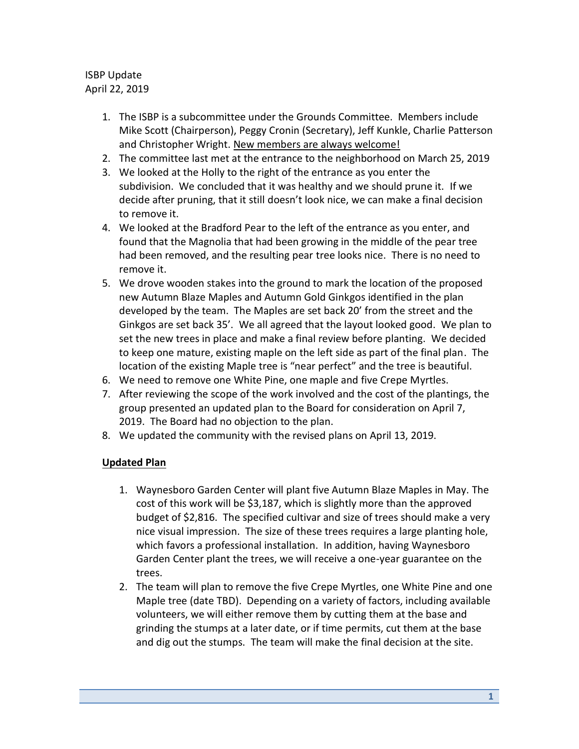## ISBP Update April 22, 2019

- 1. The ISBP is a subcommittee under the Grounds Committee. Members include Mike Scott (Chairperson), Peggy Cronin (Secretary), Jeff Kunkle, Charlie Patterson and Christopher Wright. New members are always welcome!
- 2. The committee last met at the entrance to the neighborhood on March 25, 2019
- 3. We looked at the Holly to the right of the entrance as you enter the subdivision. We concluded that it was healthy and we should prune it. If we decide after pruning, that it still doesn't look nice, we can make a final decision to remove it.
- 4. We looked at the Bradford Pear to the left of the entrance as you enter, and found that the Magnolia that had been growing in the middle of the pear tree had been removed, and the resulting pear tree looks nice. There is no need to remove it.
- 5. We drove wooden stakes into the ground to mark the location of the proposed new Autumn Blaze Maples and Autumn Gold Ginkgos identified in the plan developed by the team. The Maples are set back 20' from the street and the Ginkgos are set back 35'. We all agreed that the layout looked good. We plan to set the new trees in place and make a final review before planting. We decided to keep one mature, existing maple on the left side as part of the final plan. The location of the existing Maple tree is "near perfect" and the tree is beautiful.
- 6. We need to remove one White Pine, one maple and five Crepe Myrtles.
- 7. After reviewing the scope of the work involved and the cost of the plantings, the group presented an updated plan to the Board for consideration on April 7, 2019. The Board had no objection to the plan.
- 8. We updated the community with the revised plans on April 13, 2019.

## **Updated Plan**

- 1. Waynesboro Garden Center will plant five Autumn Blaze Maples in May. The cost of this work will be \$3,187, which is slightly more than the approved budget of \$2,816. The specified cultivar and size of trees should make a very nice visual impression. The size of these trees requires a large planting hole, which favors a professional installation. In addition, having Waynesboro Garden Center plant the trees, we will receive a one-year guarantee on the trees.
- 2. The team will plan to remove the five Crepe Myrtles, one White Pine and one Maple tree (date TBD). Depending on a variety of factors, including available volunteers, we will either remove them by cutting them at the base and grinding the stumps at a later date, or if time permits, cut them at the base and dig out the stumps. The team will make the final decision at the site.